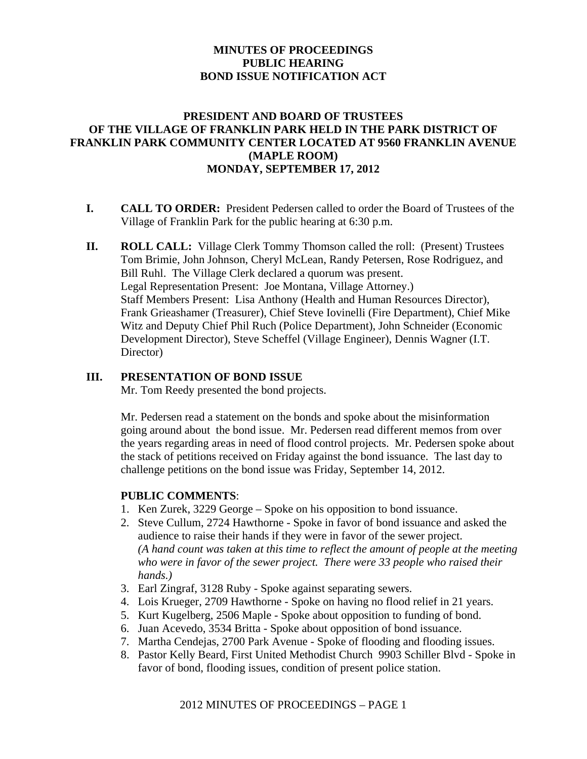# **MINUTES OF PROCEEDINGS PUBLIC HEARING BOND ISSUE NOTIFICATION ACT**

## **PRESIDENT AND BOARD OF TRUSTEES OF THE VILLAGE OF FRANKLIN PARK HELD IN THE PARK DISTRICT OF FRANKLIN PARK COMMUNITY CENTER LOCATED AT 9560 FRANKLIN AVENUE (MAPLE ROOM) MONDAY, SEPTEMBER 17, 2012**

- **I. CALL TO ORDER:** President Pedersen called to order the Board of Trustees of the Village of Franklin Park for the public hearing at 6:30 p.m.
- **II. ROLL CALL:** Village Clerk Tommy Thomson called the roll: (Present) Trustees Tom Brimie, John Johnson, Cheryl McLean, Randy Petersen, Rose Rodriguez, and Bill Ruhl. The Village Clerk declared a quorum was present. Legal Representation Present: Joe Montana, Village Attorney.) Staff Members Present: Lisa Anthony (Health and Human Resources Director), Frank Grieashamer (Treasurer), Chief Steve Iovinelli (Fire Department), Chief Mike Witz and Deputy Chief Phil Ruch (Police Department), John Schneider (Economic Development Director), Steve Scheffel (Village Engineer), Dennis Wagner (I.T. Director)

## **III. PRESENTATION OF BOND ISSUE**

Mr. Tom Reedy presented the bond projects.

Mr. Pedersen read a statement on the bonds and spoke about the misinformation going around about the bond issue. Mr. Pedersen read different memos from over the years regarding areas in need of flood control projects. Mr. Pedersen spoke about the stack of petitions received on Friday against the bond issuance. The last day to challenge petitions on the bond issue was Friday, September 14, 2012.

## **PUBLIC COMMENTS**:

- 1. Ken Zurek, 3229 George Spoke on his opposition to bond issuance.
- 2. Steve Cullum, 2724 Hawthorne Spoke in favor of bond issuance and asked the audience to raise their hands if they were in favor of the sewer project. *(A hand count was taken at this time to reflect the amount of people at the meeting who were in favor of the sewer project. There were 33 people who raised their hands.)*
- 3. Earl Zingraf, 3128 Ruby Spoke against separating sewers.
- 4. Lois Krueger, 2709 Hawthorne Spoke on having no flood relief in 21 years.
- 5. Kurt Kugelberg, 2506 Maple Spoke about opposition to funding of bond.
- 6. Juan Acevedo, 3534 Britta Spoke about opposition of bond issuance.
- 7. Martha Cendejas, 2700 Park Avenue Spoke of flooding and flooding issues.
- 8. Pastor Kelly Beard, First United Methodist Church 9903 Schiller Blvd Spoke in favor of bond, flooding issues, condition of present police station.